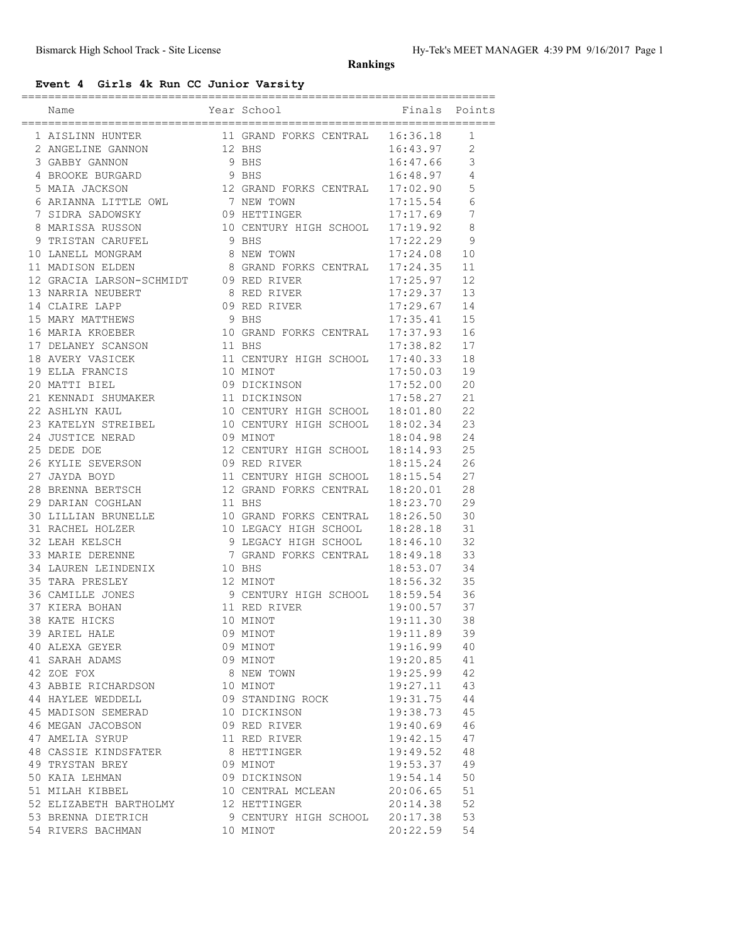**Rankings**

## **Event 4 Girls 4k Run CC Junior Varsity**

|                                                                                                                                                    |        |                                                                   | .========================== |                |
|----------------------------------------------------------------------------------------------------------------------------------------------------|--------|-------------------------------------------------------------------|-----------------------------|----------------|
| Name                                                                                                                                               |        | Year School                                                       | Finals                      | Points         |
|                                                                                                                                                    |        |                                                                   |                             | 1              |
| $\begin{tabular}{llllllll} 1 AISLINN HUNTER & & & 11 GRAND FORKS CENTRAL & 16:36.18 \\ 2 ANGELINE GANNON & & 12 BHS & & 16:43.97 \\ \end{tabular}$ |        |                                                                   |                             | $\overline{2}$ |
| 3 GABBY GANNON                                                                                                                                     |        | 9 BHS                                                             | 16:47.66                    | 3              |
| 4 BROOKE BURGARD                                                                                                                                   |        | 9 BHS                                                             | 16:48.97                    | 4              |
|                                                                                                                                                    |        | 12 GRAND FORKS CENTRAL 17:02.90                                   |                             |                |
| 5 MAIA JACKSON                                                                                                                                     |        |                                                                   | 17:15.54                    | 5<br>6         |
| 6 ARIANNA LITTLE OWL 7 NEW TOWN                                                                                                                    |        |                                                                   |                             | 7              |
| 7 SIDRA SADOWSKY                                                                                                                                   |        |                                                                   | 17:17.69                    | 8              |
| 8 MARISSA RUSSON<br>9 TRISTAN CARUFEL                                                                                                              |        | 09 HETTINGER 17:17.69<br>10 CENTURY HIGH SCHOOL 17:19.92<br>9 BHS | 17:22.29                    |                |
| 10 LANELL MONGRAM                                                                                                                                  |        | 8 NEW TOWN                                                        | 17:24.08                    | 9              |
| 11 MADISON ELDEN 8 GRAND FORKS CENTRAL 17:24.35                                                                                                    |        |                                                                   |                             | 10<br>11       |
|                                                                                                                                                    |        |                                                                   |                             | 12             |
| 12 GRACIA LARSON-SCHMIDT 09 RED RIVER                                                                                                              |        |                                                                   | 17:25.97                    | 13             |
|                                                                                                                                                    |        |                                                                   | 17:29.37                    | 14             |
| 14 CLAIRE LAPP<br>15 MARY MATTHEWS                                                                                                                 |        |                                                                   | 17:29.67                    | 15             |
|                                                                                                                                                    |        |                                                                   |                             |                |
| 16 MARIA KROEBER                                                                                                                                   |        |                                                                   |                             | 16             |
| 17 DELANEY SCANSON                                                                                                                                 | 11 BHS |                                                                   |                             | 17             |
| 18 AVERY VASICEK                                                                                                                                   |        | 11 CENTURY HIGH SCHOOL 17:40.33                                   |                             | 18             |
| 19 ELLA FRANCIS                                                                                                                                    |        | 10 MINOT                                                          | 17:50.03                    | 19             |
| 20 MATTI BIEL                                                                                                                                      |        | 09 DICKINSON                                                      | 17:52.00                    | 20             |
| 21 KENNADI SHUMAKER                                                                                                                                |        | 11 DICKINSON<br>10 CENTURY HIGH SCHOOL 18:01.80                   | 17:58.27                    | 21             |
| 22 ASHLYN KAUL                                                                                                                                     |        |                                                                   |                             | 22             |
| 23 KATELYN STREIBEL 10 CENTURY HIGH SCHOOL 18:02.34                                                                                                |        |                                                                   |                             | 23<br>24       |
| 24 JUSTICE NERAD 09 MINOT                                                                                                                          |        |                                                                   | 18:04.98                    |                |
| 25 DEDE DOE                                                                                                                                        |        | 12 CENTURY HIGH SCHOOL 18:14.93<br>09 RED RIVER                   |                             | 25<br>26       |
| 26 KYLIE SEVERSON<br>27 JAYDA BOYD                                                                                                                 |        | 11 CENTURY HIGH SCHOOL 18:15.54                                   | 18:15.24                    | 27             |
| 28 BRENNA BERTSCH                                                                                                                                  |        | 12 GRAND FORKS CENTRAL 18:20.01                                   |                             | 28             |
|                                                                                                                                                    |        |                                                                   |                             | 29             |
| 29 DARIAN COGHLAN                                                                                                                                  | 11 BHS |                                                                   | 18:23.70                    | 30             |
| 30 LILLIAN BRUNELLE 10 GRAND FORKS CENTRAL 18:26.50                                                                                                |        |                                                                   |                             | 31             |
| 31 RACHEL HOLZER 10 LEGACY HIGH SCHOOL 18:28.18<br>32 LEAH KELSCH                                                                                  |        |                                                                   | 18:46.10                    | 32             |
| 33 MARIE DERENNE                                                                                                                                   |        | 9 LEGACY HIGH SCHOOL<br>7 GRAND FORKS CENTRAL                     | 18:49.18                    | 33             |
| 34 LAUREN LEINDENIX                                                                                                                                | 10 BHS |                                                                   | 18:53.07                    | 34             |
| 35 TARA PRESLEY                                                                                                                                    |        | 12 MINOT                                                          | 18:56.32                    | 35             |
| 36 CAMILLE JONES                                                                                                                                   |        | 9 CENTURY HIGH SCHOOL 18:59.54                                    |                             | 36             |
| 37 KIERA BOHAN                                                                                                                                     |        |                                                                   | 19:00.57                    | 37             |
| 38 KATE HICKS                                                                                                                                      |        | 11 RED RIVER<br>10 MINOT                                          | 19:11.30                    | 38             |
| 39 ARIEL HALE                                                                                                                                      |        | 09 MINOT                                                          | 19:11.89                    | 39             |
|                                                                                                                                                    |        |                                                                   | 19:16.99                    | 40             |
| 40 ALEXA GEYER<br>41 SARAH ADAMS                                                                                                                   |        | 09 MINOT<br>09 MINOT                                              | 19:20.85                    | 41             |
| 42 ZOE FOX                                                                                                                                         |        | 8 NEW TOWN                                                        | 19:25.99                    | 42             |
| 43 ABBIE RICHARDSON                                                                                                                                |        | 10 MINOT                                                          | 19:27.11                    | 43             |
| 44 HAYLEE WEDDELL                                                                                                                                  |        |                                                                   | 19:31.75                    | 44             |
| 45 MADISON SEMERAD                                                                                                                                 |        | 09 STANDING ROCK<br>10 DICKINSON                                  | 19:38.73                    | 45             |
|                                                                                                                                                    |        |                                                                   |                             |                |
| 46 MEGAN JACOBSON<br>47 AMELIA SYRUP                                                                                                               |        | 09 RED RIVER<br>11 RED RIVER                                      | 19:40.69<br>19:42.15        | 46<br>47       |
| 48 CASSIE KINDSFATER                                                                                                                               |        |                                                                   |                             | 48             |
| 49 TRYSTAN BREY                                                                                                                                    |        | 8 HETTINGER<br>09 MINOT                                           | 19:49.52<br>19:53.37        | 49             |
| 50 KAIA LEHMAN                                                                                                                                     |        | 09 DICKINSON                                                      | 19:54.14                    | 50             |
| 51 MILAH KIBBEL                                                                                                                                    |        |                                                                   | 20:06.65                    | 51             |
|                                                                                                                                                    |        | 10 CENTRAL MCLEAN                                                 |                             | 52             |
| 52 ELIZABETH BARTHOLMY<br>53 BRENNA DIETRICH                                                                                                       |        | 12 HETTINGER<br>9 CENTURY HIGH SCHOOL                             | 20:14.38<br>20:17.38        | 53             |
| 54 RIVERS BACHMAN                                                                                                                                  |        | 10 MINOT                                                          | 20:22.59                    | 54             |
|                                                                                                                                                    |        |                                                                   |                             |                |